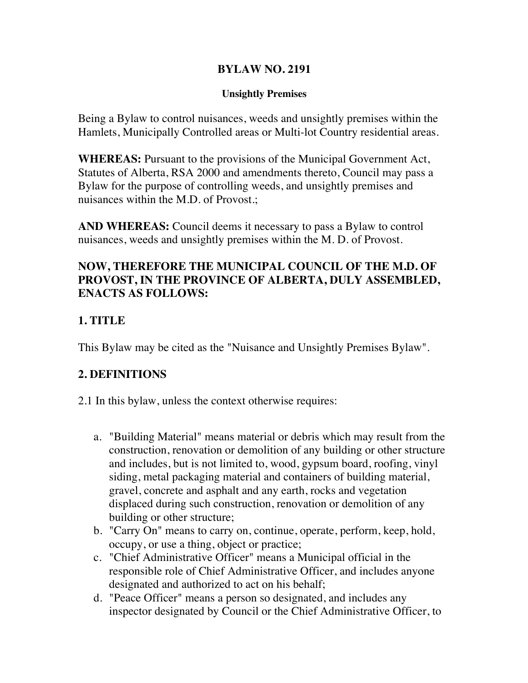#### **BYLAW NO. 2191**

#### **Unsightly Premises**

Being a Bylaw to control nuisances, weeds and unsightly premises within the Hamlets, Municipally Controlled areas or Multi-lot Country residential areas.

**WHEREAS:** Pursuant to the provisions of the Municipal Government Act, Statutes of Alberta, RSA 2000 and amendments thereto, Council may pass a Bylaw for the purpose of controlling weeds, and unsightly premises and nuisances within the M.D. of Provost.;

**AND WHEREAS:** Council deems it necessary to pass a Bylaw to control nuisances, weeds and unsightly premises within the M. D. of Provost.

#### **NOW, THEREFORE THE MUNICIPAL COUNCIL OF THE M.D. OF PROVOST, IN THE PROVINCE OF ALBERTA, DULY ASSEMBLED, ENACTS AS FOLLOWS:**

## **1. TITLE**

This Bylaw may be cited as the "Nuisance and Unsightly Premises Bylaw".

## **2. DEFINITIONS**

- 2.1 In this bylaw, unless the context otherwise requires:
	- a. "Building Material" means material or debris which may result from the construction, renovation or demolition of any building or other structure and includes, but is not limited to, wood, gypsum board, roofing, vinyl siding, metal packaging material and containers of building material, gravel, concrete and asphalt and any earth, rocks and vegetation displaced during such construction, renovation or demolition of any building or other structure;
	- b. "Carry On" means to carry on, continue, operate, perform, keep, hold, occupy, or use a thing, object or practice;
	- c. "Chief Administrative Officer" means a Municipal official in the responsible role of Chief Administrative Officer, and includes anyone designated and authorized to act on his behalf;
	- d. "Peace Officer" means a person so designated, and includes any inspector designated by Council or the Chief Administrative Officer, to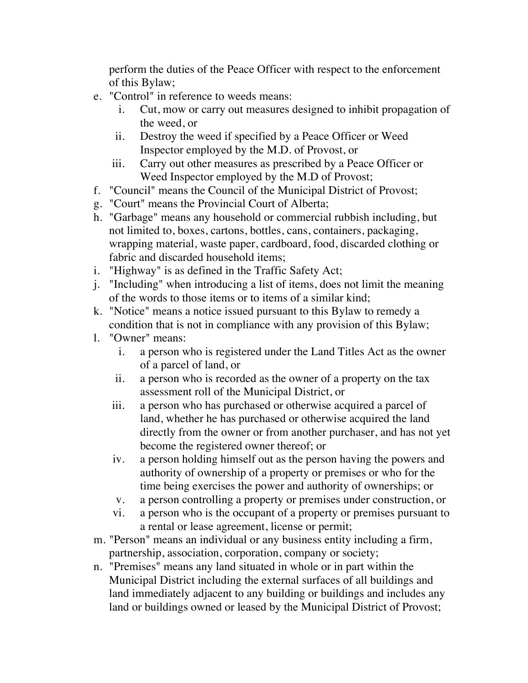perform the duties of the Peace Officer with respect to the enforcement of this Bylaw;

- e. "Control" in reference to weeds means:
	- i. Cut, mow or carry out measures designed to inhibit propagation of the weed, or
	- ii. Destroy the weed if specified by a Peace Officer or Weed Inspector employed by the M.D. of Provost, or
	- iii. Carry out other measures as prescribed by a Peace Officer or Weed Inspector employed by the M.D of Provost;
- f. "Council" means the Council of the Municipal District of Provost;
- g. "Court" means the Provincial Court of Alberta;
- h. "Garbage" means any household or commercial rubbish including, but not limited to, boxes, cartons, bottles, cans, containers, packaging, wrapping material, waste paper, cardboard, food, discarded clothing or fabric and discarded household items;
- i. "Highway" is as defined in the Traffic Safety Act;
- j. "Including" when introducing a list of items, does not limit the meaning of the words to those items or to items of a similar kind;
- k. "Notice" means a notice issued pursuant to this Bylaw to remedy a condition that is not in compliance with any provision of this Bylaw;
- l. "Owner" means:
	- i. a person who is registered under the Land Titles Act as the owner of a parcel of land, or
	- ii. a person who is recorded as the owner of a property on the tax assessment roll of the Municipal District, or
	- iii. a person who has purchased or otherwise acquired a parcel of land, whether he has purchased or otherwise acquired the land directly from the owner or from another purchaser, and has not yet become the registered owner thereof; or
	- iv. a person holding himself out as the person having the powers and authority of ownership of a property or premises or who for the time being exercises the power and authority of ownerships; or
	- v. a person controlling a property or premises under construction, or
	- vi. a person who is the occupant of a property or premises pursuant to a rental or lease agreement, license or permit;
- m. "Person" means an individual or any business entity including a firm, partnership, association, corporation, company or society;
- n. "Premises" means any land situated in whole or in part within the Municipal District including the external surfaces of all buildings and land immediately adjacent to any building or buildings and includes any land or buildings owned or leased by the Municipal District of Provost;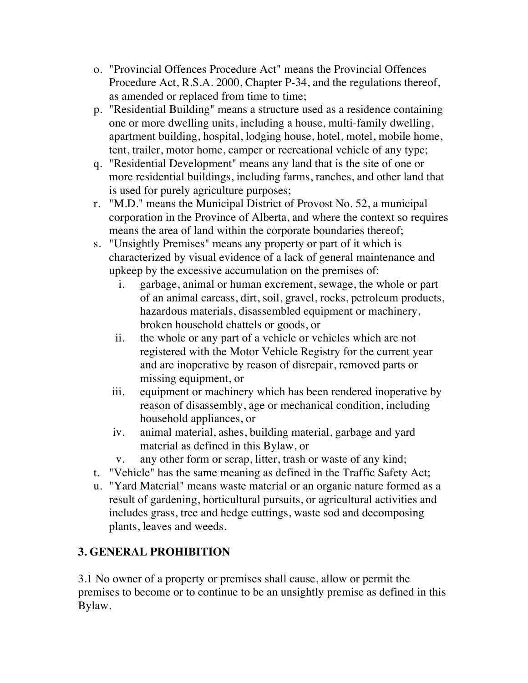- o. "Provincial Offences Procedure Act" means the Provincial Offences Procedure Act, R.S.A. 2000, Chapter P-34, and the regulations thereof, as amended or replaced from time to time;
- p. "Residential Building" means a structure used as a residence containing one or more dwelling units, including a house, multi-family dwelling, apartment building, hospital, lodging house, hotel, motel, mobile home, tent, trailer, motor home, camper or recreational vehicle of any type;
- q. "Residential Development" means any land that is the site of one or more residential buildings, including farms, ranches, and other land that is used for purely agriculture purposes;
- r. "M.D." means the Municipal District of Provost No. 52, a municipal corporation in the Province of Alberta, and where the context so requires means the area of land within the corporate boundaries thereof;
- s. "Unsightly Premises" means any property or part of it which is characterized by visual evidence of a lack of general maintenance and upkeep by the excessive accumulation on the premises of:
	- i. garbage, animal or human excrement, sewage, the whole or part of an animal carcass, dirt, soil, gravel, rocks, petroleum products, hazardous materials, disassembled equipment or machinery, broken household chattels or goods, or
	- ii. the whole or any part of a vehicle or vehicles which are not registered with the Motor Vehicle Registry for the current year and are inoperative by reason of disrepair, removed parts or missing equipment, or
	- iii. equipment or machinery which has been rendered inoperative by reason of disassembly, age or mechanical condition, including household appliances, or
	- iv. animal material, ashes, building material, garbage and yard material as defined in this Bylaw, or
	- v. any other form or scrap, litter, trash or waste of any kind;
- t. "Vehicle" has the same meaning as defined in the Traffic Safety Act;
- u. "Yard Material" means waste material or an organic nature formed as a result of gardening, horticultural pursuits, or agricultural activities and includes grass, tree and hedge cuttings, waste sod and decomposing plants, leaves and weeds.

# **3. GENERAL PROHIBITION**

3.1 No owner of a property or premises shall cause, allow or permit the premises to become or to continue to be an unsightly premise as defined in this Bylaw.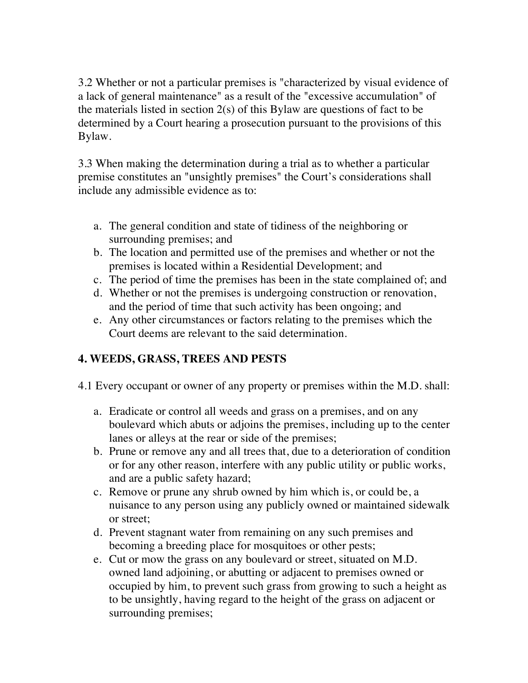3.2 Whether or not a particular premises is "characterized by visual evidence of a lack of general maintenance" as a result of the "excessive accumulation" of the materials listed in section 2(s) of this Bylaw are questions of fact to be determined by a Court hearing a prosecution pursuant to the provisions of this Bylaw.

3.3 When making the determination during a trial as to whether a particular premise constitutes an "unsightly premises" the Court's considerations shall include any admissible evidence as to:

- a. The general condition and state of tidiness of the neighboring or surrounding premises; and
- b. The location and permitted use of the premises and whether or not the premises is located within a Residential Development; and
- c. The period of time the premises has been in the state complained of; and
- d. Whether or not the premises is undergoing construction or renovation, and the period of time that such activity has been ongoing; and
- e. Any other circumstances or factors relating to the premises which the Court deems are relevant to the said determination.

# **4. WEEDS, GRASS, TREES AND PESTS**

- 4.1 Every occupant or owner of any property or premises within the M.D. shall:
	- a. Eradicate or control all weeds and grass on a premises, and on any boulevard which abuts or adjoins the premises, including up to the center lanes or alleys at the rear or side of the premises;
	- b. Prune or remove any and all trees that, due to a deterioration of condition or for any other reason, interfere with any public utility or public works, and are a public safety hazard;
	- c. Remove or prune any shrub owned by him which is, or could be, a nuisance to any person using any publicly owned or maintained sidewalk or street;
	- d. Prevent stagnant water from remaining on any such premises and becoming a breeding place for mosquitoes or other pests;
	- e. Cut or mow the grass on any boulevard or street, situated on M.D. owned land adjoining, or abutting or adjacent to premises owned or occupied by him, to prevent such grass from growing to such a height as to be unsightly, having regard to the height of the grass on adjacent or surrounding premises;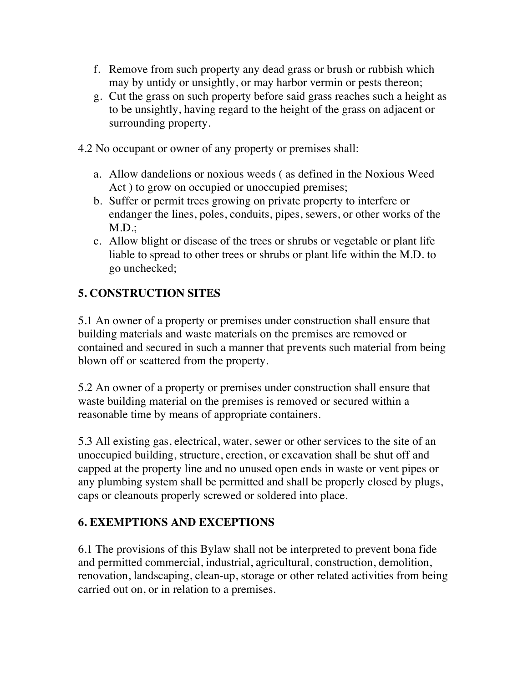- f. Remove from such property any dead grass or brush or rubbish which may by untidy or unsightly, or may harbor vermin or pests thereon;
- g. Cut the grass on such property before said grass reaches such a height as to be unsightly, having regard to the height of the grass on adjacent or surrounding property.
- 4.2 No occupant or owner of any property or premises shall:
	- a. Allow dandelions or noxious weeds ( as defined in the Noxious Weed Act ) to grow on occupied or unoccupied premises;
	- b. Suffer or permit trees growing on private property to interfere or endanger the lines, poles, conduits, pipes, sewers, or other works of the  $M.D.$ ;
	- c. Allow blight or disease of the trees or shrubs or vegetable or plant life liable to spread to other trees or shrubs or plant life within the M.D. to go unchecked;

## **5. CONSTRUCTION SITES**

5.1 An owner of a property or premises under construction shall ensure that building materials and waste materials on the premises are removed or contained and secured in such a manner that prevents such material from being blown off or scattered from the property.

5.2 An owner of a property or premises under construction shall ensure that waste building material on the premises is removed or secured within a reasonable time by means of appropriate containers.

5.3 All existing gas, electrical, water, sewer or other services to the site of an unoccupied building, structure, erection, or excavation shall be shut off and capped at the property line and no unused open ends in waste or vent pipes or any plumbing system shall be permitted and shall be properly closed by plugs, caps or cleanouts properly screwed or soldered into place.

## **6. EXEMPTIONS AND EXCEPTIONS**

6.1 The provisions of this Bylaw shall not be interpreted to prevent bona fide and permitted commercial, industrial, agricultural, construction, demolition, renovation, landscaping, clean-up, storage or other related activities from being carried out on, or in relation to a premises.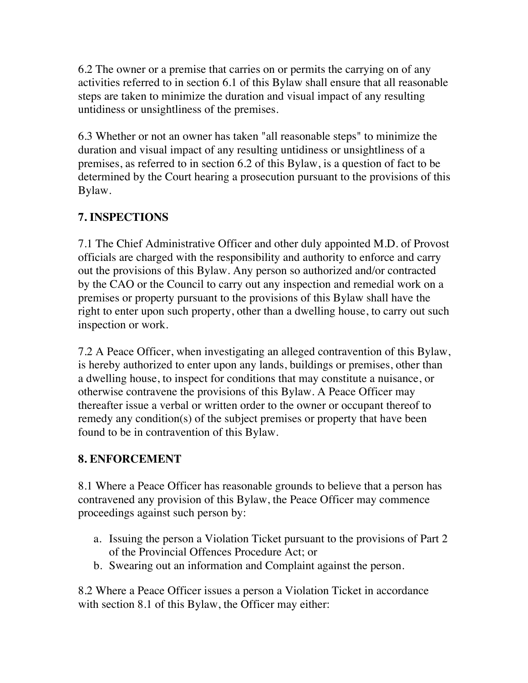6.2 The owner or a premise that carries on or permits the carrying on of any activities referred to in section 6.1 of this Bylaw shall ensure that all reasonable steps are taken to minimize the duration and visual impact of any resulting untidiness or unsightliness of the premises.

6.3 Whether or not an owner has taken "all reasonable steps" to minimize the duration and visual impact of any resulting untidiness or unsightliness of a premises, as referred to in section 6.2 of this Bylaw, is a question of fact to be determined by the Court hearing a prosecution pursuant to the provisions of this Bylaw.

# **7. INSPECTIONS**

7.1 The Chief Administrative Officer and other duly appointed M.D. of Provost officials are charged with the responsibility and authority to enforce and carry out the provisions of this Bylaw. Any person so authorized and/or contracted by the CAO or the Council to carry out any inspection and remedial work on a premises or property pursuant to the provisions of this Bylaw shall have the right to enter upon such property, other than a dwelling house, to carry out such inspection or work.

7.2 A Peace Officer, when investigating an alleged contravention of this Bylaw, is hereby authorized to enter upon any lands, buildings or premises, other than a dwelling house, to inspect for conditions that may constitute a nuisance, or otherwise contravene the provisions of this Bylaw. A Peace Officer may thereafter issue a verbal or written order to the owner or occupant thereof to remedy any condition(s) of the subject premises or property that have been found to be in contravention of this Bylaw.

# **8. ENFORCEMENT**

8.1 Where a Peace Officer has reasonable grounds to believe that a person has contravened any provision of this Bylaw, the Peace Officer may commence proceedings against such person by:

- a. Issuing the person a Violation Ticket pursuant to the provisions of Part 2 of the Provincial Offences Procedure Act; or
- b. Swearing out an information and Complaint against the person.

8.2 Where a Peace Officer issues a person a Violation Ticket in accordance with section 8.1 of this Bylaw, the Officer may either: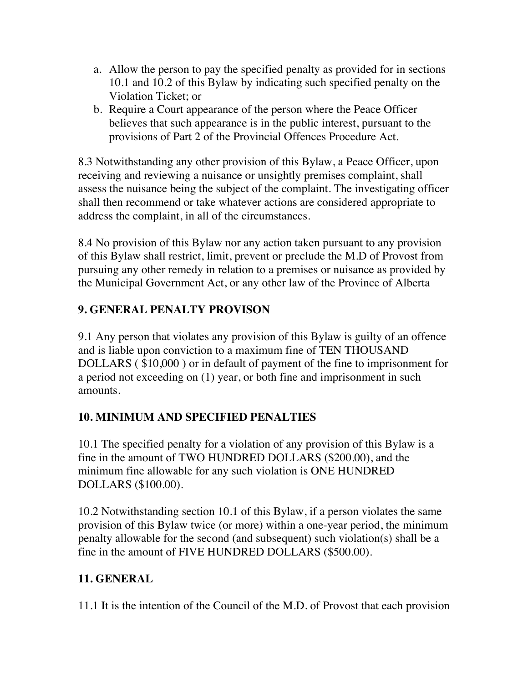- a. Allow the person to pay the specified penalty as provided for in sections 10.1 and 10.2 of this Bylaw by indicating such specified penalty on the Violation Ticket; or
- b. Require a Court appearance of the person where the Peace Officer believes that such appearance is in the public interest, pursuant to the provisions of Part 2 of the Provincial Offences Procedure Act.

8.3 Notwithstanding any other provision of this Bylaw, a Peace Officer, upon receiving and reviewing a nuisance or unsightly premises complaint, shall assess the nuisance being the subject of the complaint. The investigating officer shall then recommend or take whatever actions are considered appropriate to address the complaint, in all of the circumstances.

8.4 No provision of this Bylaw nor any action taken pursuant to any provision of this Bylaw shall restrict, limit, prevent or preclude the M.D of Provost from pursuing any other remedy in relation to a premises or nuisance as provided by the Municipal Government Act, or any other law of the Province of Alberta

# **9. GENERAL PENALTY PROVISON**

9.1 Any person that violates any provision of this Bylaw is guilty of an offence and is liable upon conviction to a maximum fine of TEN THOUSAND DOLLARS ( \$10,000 ) or in default of payment of the fine to imprisonment for a period not exceeding on (1) year, or both fine and imprisonment in such amounts.

# **10. MINIMUM AND SPECIFIED PENALTIES**

10.1 The specified penalty for a violation of any provision of this Bylaw is a fine in the amount of TWO HUNDRED DOLLARS (\$200.00), and the minimum fine allowable for any such violation is ONE HUNDRED DOLLARS (\$100.00).

10.2 Notwithstanding section 10.1 of this Bylaw, if a person violates the same provision of this Bylaw twice (or more) within a one-year period, the minimum penalty allowable for the second (and subsequent) such violation(s) shall be a fine in the amount of FIVE HUNDRED DOLLARS (\$500.00).

# **11. GENERAL**

11.1 It is the intention of the Council of the M.D. of Provost that each provision